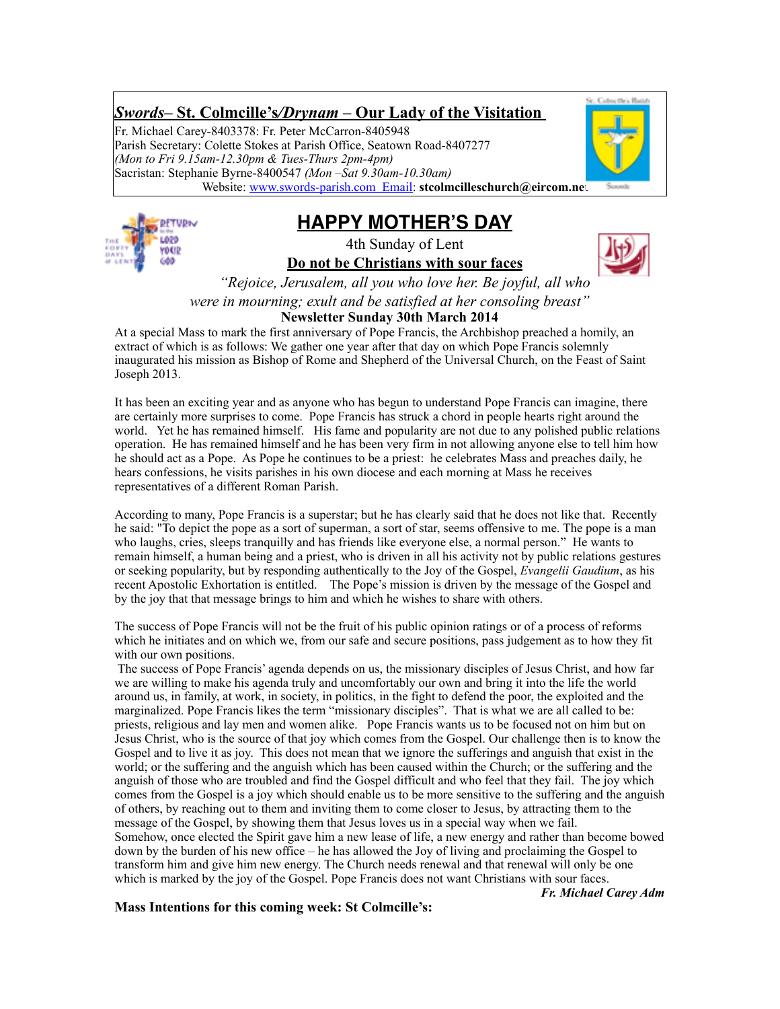# *Swords***– St. Colmcille's***/Drynam* **– Our Lady of the Visitation**

Fr. Michael Carey-8403378: Fr. Peter McCarron-8405948 Parish Secretary: Colette Stokes at Parish Office, Seatown Road-8407277 *(Mon to Fri 9.15am-12.30pm & Tues-Thurs 2pm-4pm)* Sacristan: Stephanie Byrne-8400547 *(Mon –Sat 9.30am-10.30am)* Website: [www.swords-parish.com Email:](http://www.swords-parish.com%20%20email) **stcolmcilleschurch@eircom.net**



**HAPPY MOTHER'S DAY**

4th Sunday of Lent **Do not be Christians with sour faces**



*"Rejoice, Jerusalem, all you who love her. Be joyful, all who were in mourning; exult and be satisfied at her consoling breast"*

**Newsletter Sunday 30th March 2014**

At a special Mass to mark the first anniversary of Pope Francis, the Archbishop preached a homily, an extract of which is as follows: We gather one year after that day on which Pope Francis solemnly inaugurated his mission as Bishop of Rome and Shepherd of the Universal Church, on the Feast of Saint Joseph 2013.

It has been an exciting year and as anyone who has begun to understand Pope Francis can imagine, there are certainly more surprises to come. Pope Francis has struck a chord in people hearts right around the world. Yet he has remained himself. His fame and popularity are not due to any polished public relations operation. He has remained himself and he has been very firm in not allowing anyone else to tell him how he should act as a Pope. As Pope he continues to be a priest: he celebrates Mass and preaches daily, he hears confessions, he visits parishes in his own diocese and each morning at Mass he receives representatives of a different Roman Parish.

According to many, Pope Francis is a superstar; but he has clearly said that he does not like that. Recently he said: "To depict the pope as a sort of superman, a sort of star, seems offensive to me. The pope is a man who laughs, cries, sleeps tranquilly and has friends like everyone else, a normal person." He wants to remain himself, a human being and a priest, who is driven in all his activity not by public relations gestures or seeking popularity, but by responding authentically to the Joy of the Gospel, *Evangelii Gaudium*, as his recent Apostolic Exhortation is entitled. The Pope's mission is driven by the message of the Gospel and by the joy that that message brings to him and which he wishes to share with others.

The success of Pope Francis will not be the fruit of his public opinion ratings or of a process of reforms which he initiates and on which we, from our safe and secure positions, pass judgement as to how they fit with our own positions.

 The success of Pope Francis' agenda depends on us, the missionary disciples of Jesus Christ, and how far we are willing to make his agenda truly and uncomfortably our own and bring it into the life the world around us, in family, at work, in society, in politics, in the fight to defend the poor, the exploited and the marginalized. Pope Francis likes the term "missionary disciples". That is what we are all called to be: priests, religious and lay men and women alike. Pope Francis wants us to be focused not on him but on Jesus Christ, who is the source of that joy which comes from the Gospel. Our challenge then is to know the Gospel and to live it as joy. This does not mean that we ignore the sufferings and anguish that exist in the world; or the suffering and the anguish which has been caused within the Church; or the suffering and the anguish of those who are troubled and find the Gospel difficult and who feel that they fail. The joy which comes from the Gospel is a joy which should enable us to be more sensitive to the suffering and the anguish of others, by reaching out to them and inviting them to come closer to Jesus, by attracting them to the message of the Gospel, by showing them that Jesus loves us in a special way when we fail. Somehow, once elected the Spirit gave him a new lease of life, a new energy and rather than become bowed down by the burden of his new office – he has allowed the Joy of living and proclaiming the Gospel to transform him and give him new energy. The Church needs renewal and that renewal will only be one which is marked by the joy of the Gospel. Pope Francis does not want Christians with sour faces.

*Fr. Michael Carey Adm*

**Mass Intentions for this coming week: St Colmcille's:**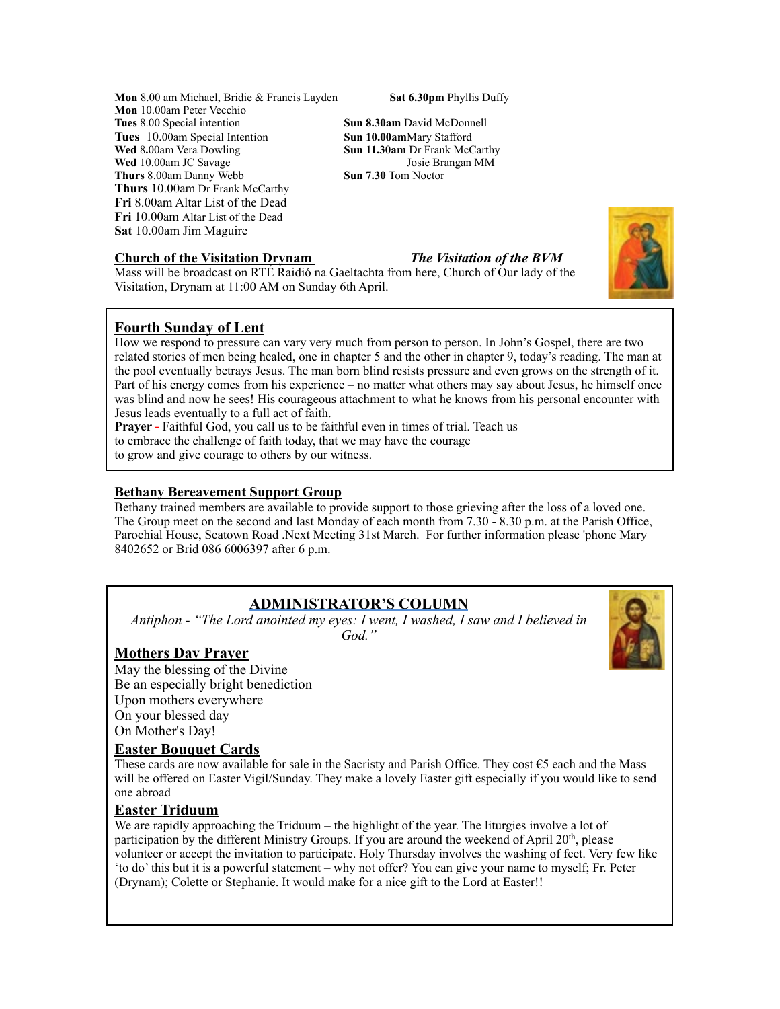**Mon** 8.00 am Michael, Bridie & Francis Layden **Sat 6.30pm** Phyllis Duffy **Mon** 10.00am Peter Vecchio **Tues** 8.00 Special intention **Sun 8.30am** David McDonnell **Tues** 10.00am Special Intention **Sun 10.00am**Mary Stafford **Wed** 8.00am Vera Dowling **Sun 11.30am** Dr Frank McC **Wed** 10.00am JC Savage Josie Brangan Medicines 8.00am Danny Webb **Sun 7.30** Tom Noctor **Thurs** 8.00am Danny Webb **Thurs** 10.00am Dr Frank McCarthy **Fri** 8.00am Altar List of the Dead **Fri** 10.00am Altar List of the Dead **Sat** 10.00am Jim Maguire

#### **Church of the Visitation Drynam** *The Visitation of the BVM*

**Sun 11.30am Dr Frank McCarthy**<br>Josie Brangan MM

Mass will be broadcast on RTÉ Raidió na Gaeltachta from here, Church of Our lady of the Visitation, Drynam at 11:00 AM on Sunday 6th April.



How we respond to pressure can vary very much from person to person. In John's Gospel, there are two related stories of men being healed, one in chapter 5 and the other in chapter 9, today's reading. The man at the pool eventually betrays Jesus. The man born blind resists pressure and even grows on the strength of it. Part of his energy comes from his experience – no matter what others may say about Jesus, he himself once was blind and now he sees! His courageous attachment to what he knows from his personal encounter with Jesus leads eventually to a full act of faith.

**Prayer -** Faithful God, you call us to be faithful even in times of trial. Teach us

to embrace the challenge of faith today, that we may have the courage

to grow and give courage to others by our witness.

# **Bethany Bereavement Support Group**

Bethany trained members are available to provide support to those grieving after the loss of a loved one. The Group meet on the second and last Monday of each month from 7.30 - 8.30 p.m. at the Parish Office, Parochial House, Seatown Road .Next Meeting 31st March. For further information please 'phone Mary 8402652 or Brid 086 6006397 after 6 p.m.

# **ADMINISTRATOR'S COLUMN**

*Antiphon - "The Lord anointed my eyes: I went, I washed, I saw and I believed in God."* 



May the blessing of the Divine Be an especially bright benediction Upon mothers everywhere On your blessed day On Mother's Day!

# **Easter Bouquet Cards**

These cards are now available for sale in the Sacristy and Parish Office. They cost  $\epsilon$ 5 each and the Mass will be offered on Easter Vigil/Sunday. They make a lovely Easter gift especially if you would like to send one abroad

# **Easter Triduum**

We are rapidly approaching the Triduum – the highlight of the year. The liturgies involve a lot of participation by the different Ministry Groups. If you are around the weekend of April 20<sup>th</sup>, please volunteer or accept the invitation to participate. Holy Thursday involves the washing of feet. Very few like 'to do' this but it is a powerful statement – why not offer? You can give your name to myself; Fr. Peter (Drynam); Colette or Stephanie. It would make for a nice gift to the Lord at Easter!!



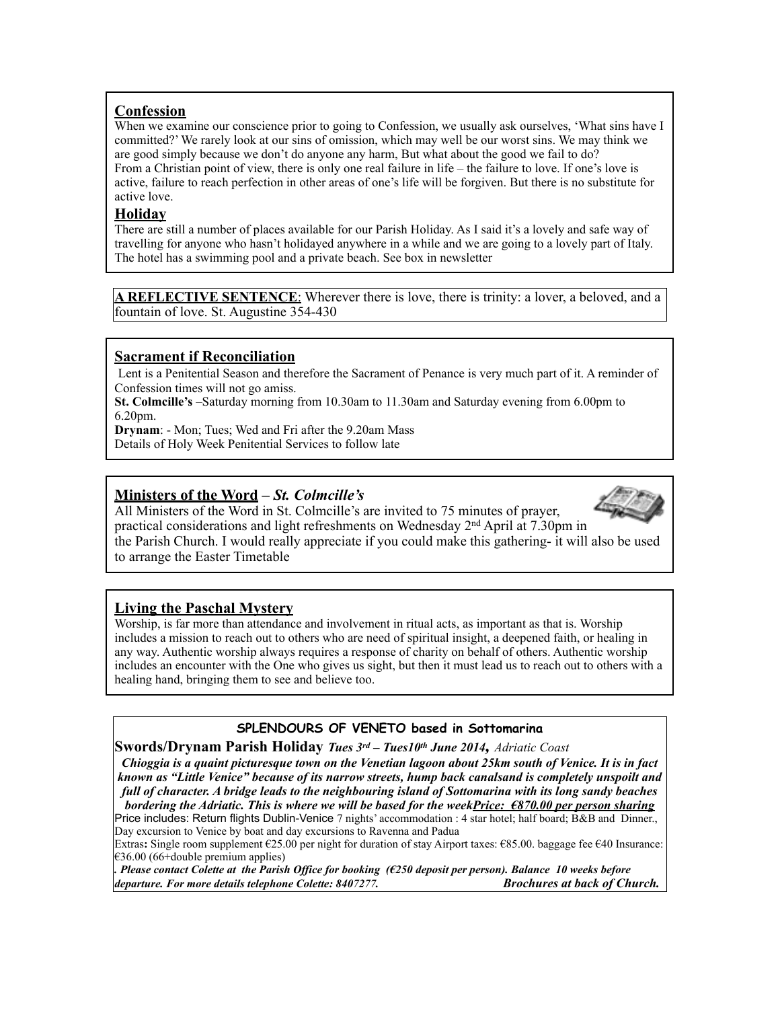# **Confession**

When we examine our conscience prior to going to Confession, we usually ask ourselves, 'What sins have I committed?' We rarely look at our sins of omission, which may well be our worst sins. We may think we are good simply because we don't do anyone any harm, But what about the good we fail to do? From a Christian point of view, there is only one real failure in life – the failure to love. If one's love is active, failure to reach perfection in other areas of one's life will be forgiven. But there is no substitute for active love.

### **Holiday**

There are still a number of places available for our Parish Holiday. As I said it's a lovely and safe way of travelling for anyone who hasn't holidayed anywhere in a while and we are going to a lovely part of Italy. The hotel has a swimming pool and a private beach. See box in newsletter

**A REFLECTIVE SENTENCE**: Wherever there is love, there is trinity: a lover, a beloved, and a fountain of love. St. Augustine 354-430

# **Sacrament if Reconciliation**

Lent is a Penitential Season and therefore the Sacrament of Penance is very much part of it. A reminder of Confession times will not go amiss.

**St. Colmcille's** –Saturday morning from 10.30am to 11.30am and Saturday evening from 6.00pm to 6.20pm.

**Drynam**: - Mon; Tues; Wed and Fri after the 9.20am Mass

Details of Holy Week Penitential Services to follow late

# **Ministers of the Word –** *St. Colmcille's*



All Ministers of the Word in St. Colmcille's are invited to 75 minutes of prayer, practical considerations and light refreshments on Wednesday 2nd April at 7.30pm in the Parish Church. I would really appreciate if you could make this gathering- it will also be used to arrange the Easter Timetable

# **Living the Paschal Mystery**

Worship, is far more than attendance and involvement in ritual acts, as important as that is. Worship includes a mission to reach out to others who are need of spiritual insight, a deepened faith, or healing in any way. Authentic worship always requires a response of charity on behalf of others. Authentic worship includes an encounter with the One who gives us sight, but then it must lead us to reach out to others with a healing hand, bringing them to see and believe too.

# **SPLENDOURS OF VENETO based in Sottomarina**

**Swords/Drynam Parish Holiday** *Tues 3rd – Tues10th June 2014, Adriatic Coast*

*Chioggia is a quaint picturesque town on the Venetian lagoon about 25km south of Venice. It is in fact known as "Little Venice" because of its narrow streets, hump back canalsand is completely unspoilt and full of character. A bridge leads to the neighbouring island of Sottomarina with its long sandy beaches bordering the Adriatic. This is where we will be based for the weekPrice: €870.00 per person sharing*

Price includes: Return flights Dublin-Venice 7 nights' accommodation : 4 star hotel; half board; B&B and Dinner., Day excursion to Venice by boat and day excursions to Ravenna and Padua

Extras**:** Single room supplement €25.00 per night for duration of stay Airport taxes: €85.00. baggage fee €40 Insurance:  $€36.00$  (66+double premium applies)

*. Please contact Colette at the Parish Office for booking (€250 deposit per person). Balance 10 weeks before departure. For more details telephone Colette: 8407277. Brochures at back of Church.*